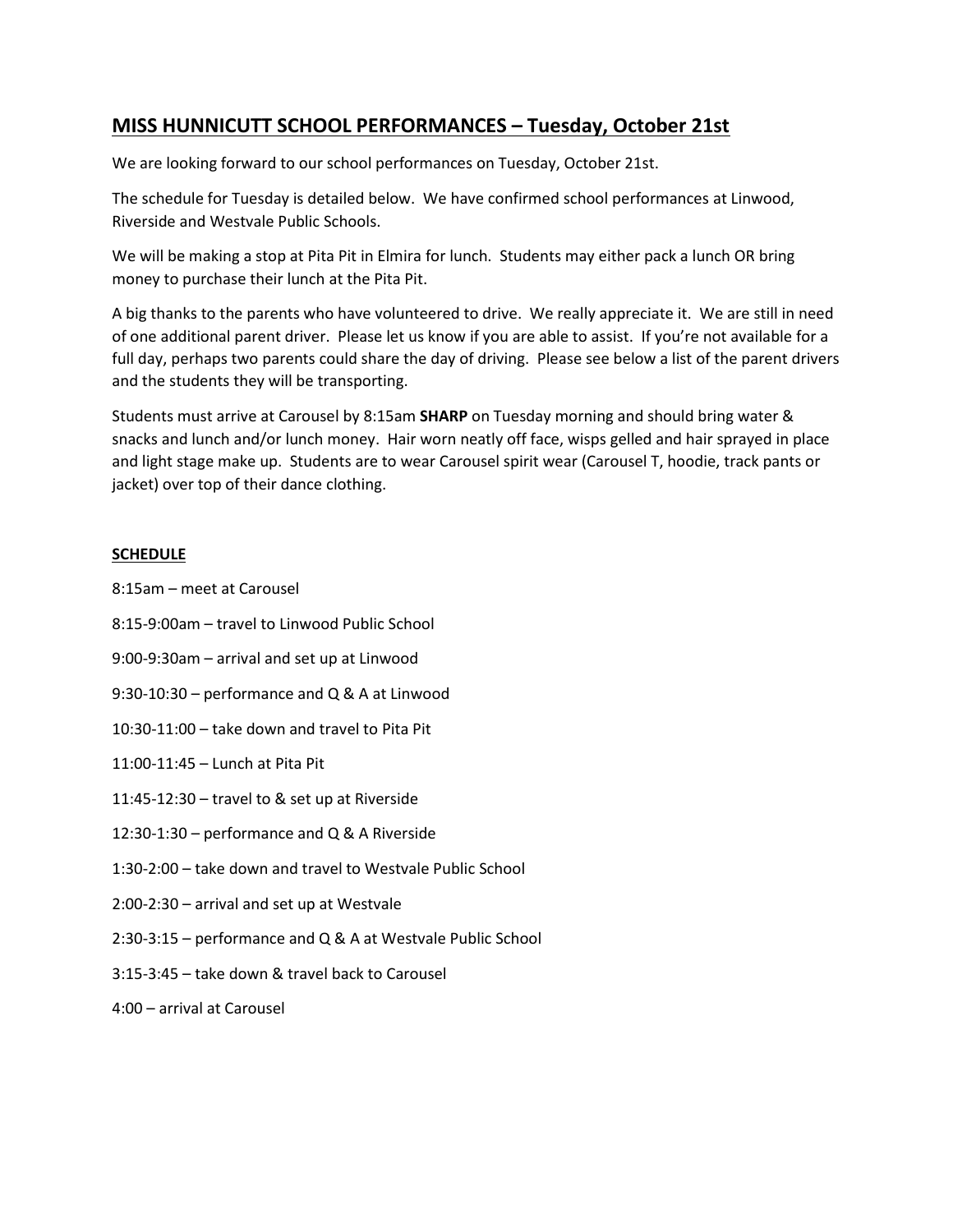## **MISS HUNNICUTT SCHOOL PERFORMANCES – Tuesday, October 21st**

We are looking forward to our school performances on Tuesday, October 21st.

The schedule for Tuesday is detailed below. We have confirmed school performances at Linwood, Riverside and Westvale Public Schools.

We will be making a stop at Pita Pit in Elmira for lunch. Students may either pack a lunch OR bring money to purchase their lunch at the Pita Pit.

A big thanks to the parents who have volunteered to drive. We really appreciate it. We are still in need of one additional parent driver. Please let us know if you are able to assist. If you're not available for a full day, perhaps two parents could share the day of driving. Please see below a list of the parent drivers and the students they will be transporting.

Students must arrive at Carousel by 8:15am **SHARP** on Tuesday morning and should bring water & snacks and lunch and/or lunch money. Hair worn neatly off face, wisps gelled and hair sprayed in place and light stage make up. Students are to wear Carousel spirit wear (Carousel T, hoodie, track pants or jacket) over top of their dance clothing.

## **SCHEDULE**

- 8:15am meet at Carousel
- 8:15-9:00am travel to Linwood Public School
- 9:00-9:30am arrival and set up at Linwood
- 9:30-10:30 performance and Q & A at Linwood
- 10:30-11:00 take down and travel to Pita Pit
- 11:00-11:45 Lunch at Pita Pit
- 11:45-12:30 travel to & set up at Riverside
- 12:30-1:30 performance and Q & A Riverside
- 1:30-2:00 take down and travel to Westvale Public School
- 2:00-2:30 arrival and set up at Westvale
- 2:30-3:15 performance and Q & A at Westvale Public School
- 3:15-3:45 take down & travel back to Carousel
- 4:00 arrival at Carousel